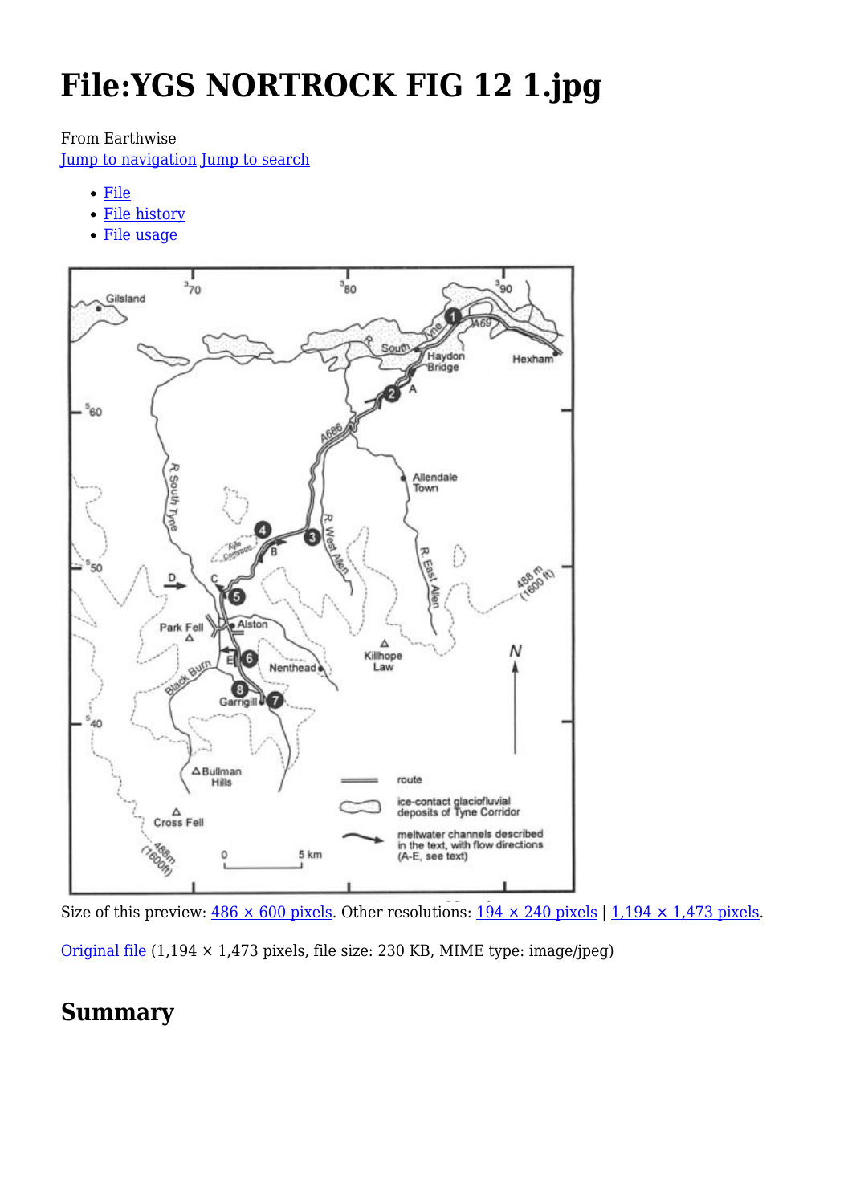# **File:YGS NORTROCK FIG 12 1.jpg**

#### From Earthwise

[Jump to navigation](#page--1-0) [Jump to search](#page--1-0)

- [File](#page--1-0)
- [File history](#page--1-0)
- [File usage](#page--1-0)



Size of this preview:  $486 \times 600$  pixels. Other resolutions:  $194 \times 240$  pixels | 1,194  $\times$  1,473 pixels.

[Original file](http://earthwise.bgs.ac.uk/images/1/12/YGS_NORTROCK_FIG_12_1.jpg)  $(1,194 \times 1,473$  pixels, file size: 230 KB, MIME type: image/jpeg)

### **Summary**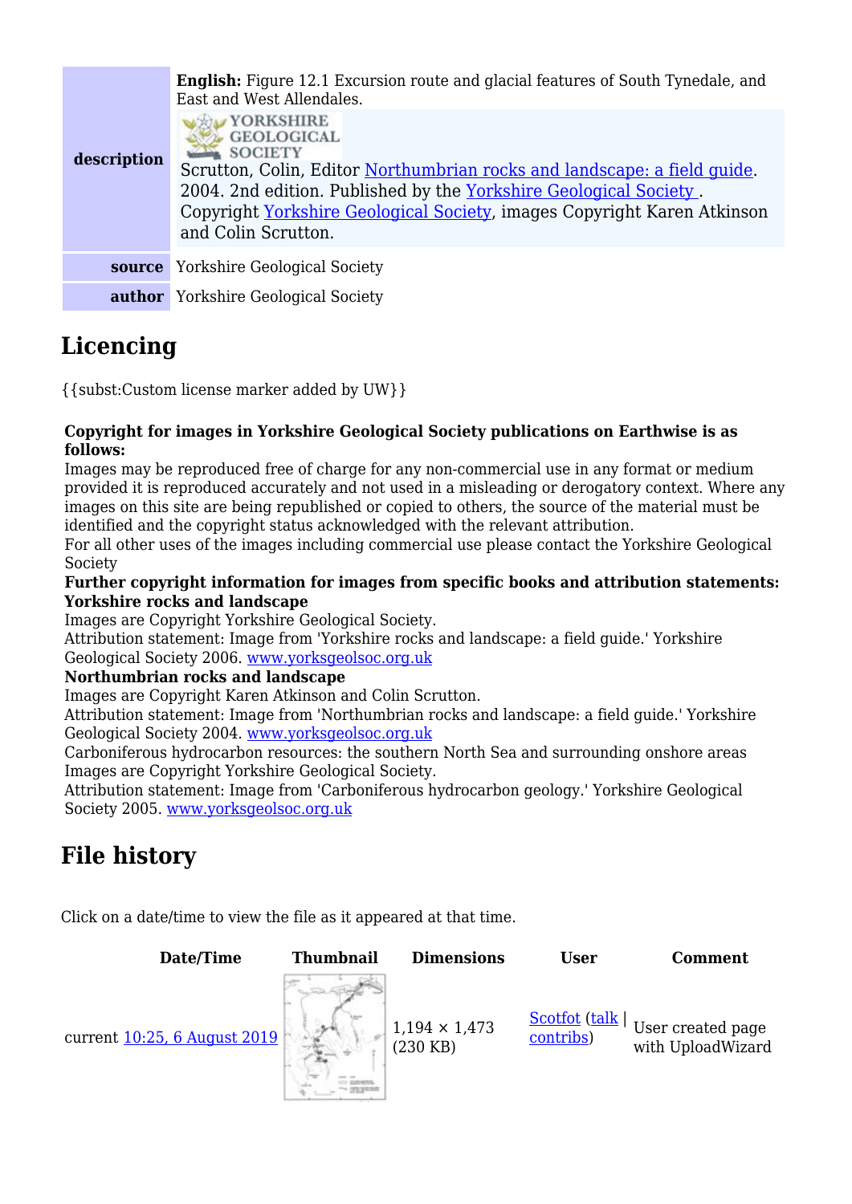| description | <b>English:</b> Figure 12.1 Excursion route and glacial features of South Tynedale, and<br>East and West Allendales.<br>YORKSHIRE<br><b>GEOLOGICAL</b><br><b>SOCIETY</b><br>Scrutton, Colin, Editor Northumbrian rocks and landscape: a field guide.<br>2004. 2nd edition. Published by the Yorkshire Geological Society.<br>Copyright Yorkshire Geological Society, images Copyright Karen Atkinson<br>and Colin Scrutton. |
|-------------|-----------------------------------------------------------------------------------------------------------------------------------------------------------------------------------------------------------------------------------------------------------------------------------------------------------------------------------------------------------------------------------------------------------------------------|
| source      | <b>Yorkshire Geological Society</b>                                                                                                                                                                                                                                                                                                                                                                                         |
|             | <b>author</b> Yorkshire Geological Society                                                                                                                                                                                                                                                                                                                                                                                  |

# **Licencing**

{{subst:Custom license marker added by UW}}

#### **Copyright for images in Yorkshire Geological Society publications on Earthwise is as follows:**

Images may be reproduced free of charge for any non-commercial use in any format or medium provided it is reproduced accurately and not used in a misleading or derogatory context. Where any images on this site are being republished or copied to others, the source of the material must be identified and the copyright status acknowledged with the relevant attribution.

For all other uses of the images including commercial use please contact the Yorkshire Geological Society

#### **Further copyright information for images from specific books and attribution statements: Yorkshire rocks and landscape**

Images are Copyright Yorkshire Geological Society.

Attribution statement: Image from 'Yorkshire rocks and landscape: a field guide.' Yorkshire Geological Society 2006. [www.yorksgeolsoc.org.uk](http://www.yorksgeolsoc.org.uk)

#### **Northumbrian rocks and landscape**

Images are Copyright Karen Atkinson and Colin Scrutton.

Attribution statement: Image from 'Northumbrian rocks and landscape: a field guide.' Yorkshire Geological Society 2004. [www.yorksgeolsoc.org.uk](http://www.yorksgeolsoc.org.uk)

Carboniferous hydrocarbon resources: the southern North Sea and surrounding onshore areas Images are Copyright Yorkshire Geological Society.

Attribution statement: Image from 'Carboniferous hydrocarbon geology.' Yorkshire Geological Society 2005. [www.yorksgeolsoc.org.uk](http://www.yorksgeolsoc.org.uk)

# **File history**

Click on a date/time to view the file as it appeared at that time.

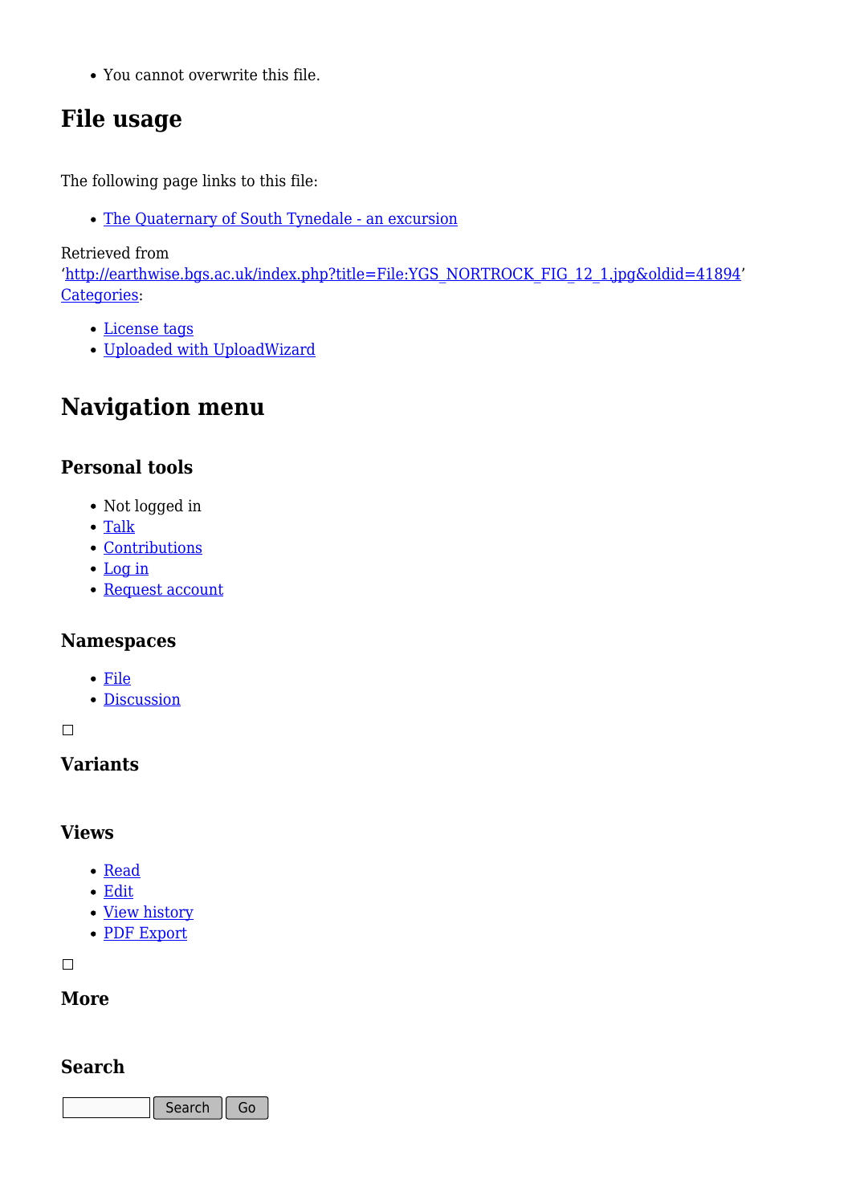You cannot overwrite this file.

# **File usage**

The following page links to this file:

• [The Quaternary of South Tynedale - an excursion](http://earthwise.bgs.ac.uk/index.php/The_Quaternary_of_South_Tynedale_-_an_excursion)

Retrieved from

'[http://earthwise.bgs.ac.uk/index.php?title=File:YGS\\_NORTROCK\\_FIG\\_12\\_1.jpg&oldid=41894](http://earthwise.bgs.ac.uk/index.php?title=File:YGS_NORTROCK_FIG_12_1.jpg&oldid=41894)' [Categories:](http://earthwise.bgs.ac.uk/index.php/Special:Categories)

- [License tags](http://earthwise.bgs.ac.uk/index.php/Category:License_tags)
- [Uploaded with UploadWizard](http://earthwise.bgs.ac.uk/index.php/Category:Uploaded_with_UploadWizard)

## **Navigation menu**

### **Personal tools**

- Not logged in
- [Talk](http://earthwise.bgs.ac.uk/index.php/Special:MyTalk)
- [Contributions](http://earthwise.bgs.ac.uk/index.php/Special:MyContributions)
- [Log in](http://earthwise.bgs.ac.uk/index.php?title=Special:UserLogin&returnto=File%3AYGS+NORTROCK+FIG+12+1.jpg&returntoquery=action%3Dmpdf)
- [Request account](http://earthwise.bgs.ac.uk/index.php/Special:RequestAccount)

### **Namespaces**

- [File](http://earthwise.bgs.ac.uk/index.php/File:YGS_NORTROCK_FIG_12_1.jpg)
- [Discussion](http://earthwise.bgs.ac.uk/index.php?title=File_talk:YGS_NORTROCK_FIG_12_1.jpg&action=edit&redlink=1)

 $\Box$ 

### **Variants**

### **Views**

- [Read](http://earthwise.bgs.ac.uk/index.php/File:YGS_NORTROCK_FIG_12_1.jpg)
- [Edit](http://earthwise.bgs.ac.uk/index.php?title=File:YGS_NORTROCK_FIG_12_1.jpg&action=edit)
- [View history](http://earthwise.bgs.ac.uk/index.php?title=File:YGS_NORTROCK_FIG_12_1.jpg&action=history)
- [PDF Export](http://earthwise.bgs.ac.uk/index.php?title=File:YGS_NORTROCK_FIG_12_1.jpg&action=mpdf)

 $\Box$ 

### **More**

### **Search**